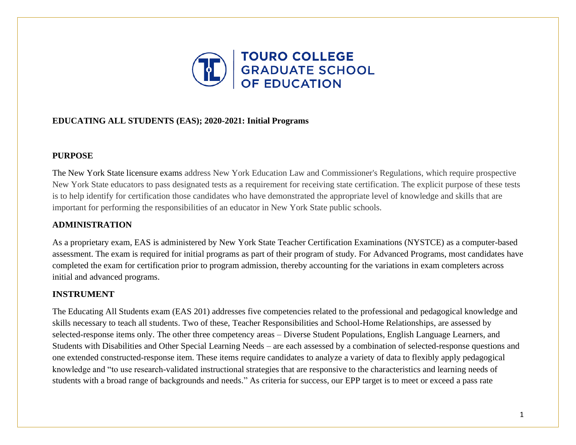

# **EDUCATING ALL STUDENTS (EAS); 2020-2021: Initial Programs**

## **PURPOSE**

The New York State licensure exams address New York Education Law and Commissioner's Regulations, which require prospective New York State educators to pass designated tests as a requirement for receiving state certification. The explicit purpose of these tests is to help identify for certification those candidates who have demonstrated the appropriate level of knowledge and skills that are important for performing the responsibilities of an educator in New York State public schools.

# **ADMINISTRATION**

As a proprietary exam, EAS is administered by New York State Teacher Certification Examinations (NYSTCE) as a computer-based assessment. The exam is required for initial programs as part of their program of study. For Advanced Programs, most candidates have completed the exam for certification prior to program admission, thereby accounting for the variations in exam completers across initial and advanced programs.

# **INSTRUMENT**

The Educating All Students exam (EAS 201) addresses five competencies related to the professional and pedagogical knowledge and skills necessary to teach all students. Two of these, Teacher Responsibilities and School-Home Relationships, are assessed by selected-response items only. The other three competency areas – Diverse Student Populations, English Language Learners, and Students with Disabilities and Other Special Learning Needs – are each assessed by a combination of selected-response questions and one extended constructed-response item. These items require candidates to analyze a variety of data to flexibly apply pedagogical knowledge and "to use research-validated instructional strategies that are responsive to the characteristics and learning needs of students with a broad range of backgrounds and needs." As criteria for success, our EPP target is to meet or exceed a pass rate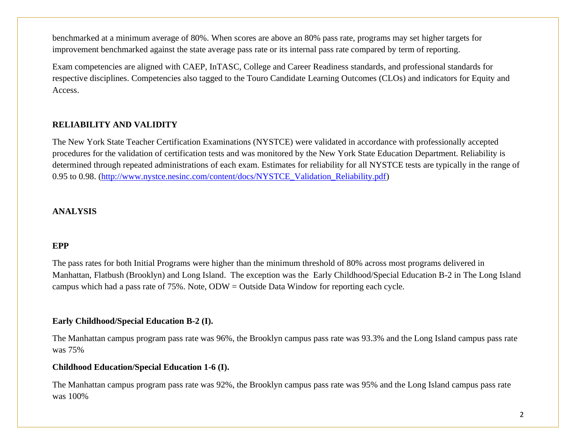benchmarked at a minimum average of 80%. When scores are above an 80% pass rate, programs may set higher targets for improvement benchmarked against the state average pass rate or its internal pass rate compared by term of reporting.

Exam competencies are aligned with CAEP, InTASC, College and Career Readiness standards, and professional standards for respective disciplines. Competencies also tagged to the Touro Candidate Learning Outcomes (CLOs) and indicators for Equity and Access.

# **RELIABILITY AND VALIDITY**

The New York State Teacher Certification Examinations (NYSTCE) were validated in accordance with professionally accepted procedures for the validation of certification tests and was monitored by the New York State Education Department. Reliability is determined through repeated administrations of each exam. Estimates for reliability for all NYSTCE tests are typically in the range of 0.95 to 0.98. [\(http://www.nystce.nesinc.com/content/docs/NYSTCE\\_Validation\\_Reliability.pdf\)](http://www.nystce.nesinc.com/content/docs/NYSTCE_Validation_Reliability.pdf)

## **ANALYSIS**

## **EPP**

The pass rates for both Initial Programs were higher than the minimum threshold of 80% across most programs delivered in Manhattan, Flatbush (Brooklyn) and Long Island. The exception was the Early Childhood/Special Education B-2 in The Long Island campus which had a pass rate of 75%. Note, ODW = Outside Data Window for reporting each cycle.

## **Early Childhood/Special Education B-2 (I).**

The Manhattan campus program pass rate was 96%, the Brooklyn campus pass rate was 93.3% and the Long Island campus pass rate was 75%

#### **Childhood Education/Special Education 1-6 (I).**

The Manhattan campus program pass rate was 92%, the Brooklyn campus pass rate was 95% and the Long Island campus pass rate was 100%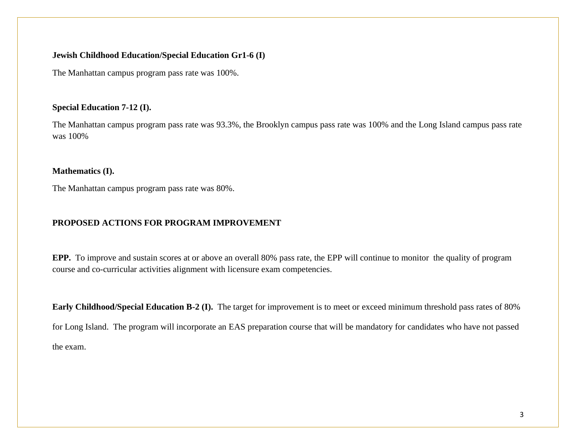## **Jewish Childhood Education/Special Education Gr1-6 (I)**

The Manhattan campus program pass rate was 100%.

## **Special Education 7-12 (I).**

The Manhattan campus program pass rate was 93.3%, the Brooklyn campus pass rate was 100% and the Long Island campus pass rate was 100%

## **Mathematics (I).**

The Manhattan campus program pass rate was 80%.

# **PROPOSED ACTIONS FOR PROGRAM IMPROVEMENT**

**EPP.** To improve and sustain scores at or above an overall 80% pass rate, the EPP will continue to monitor the quality of program course and co-curricular activities alignment with licensure exam competencies.

**Early Childhood/Special Education B-2 (I).** The target for improvement is to meet or exceed minimum threshold pass rates of 80% for Long Island. The program will incorporate an EAS preparation course that will be mandatory for candidates who have not passed the exam.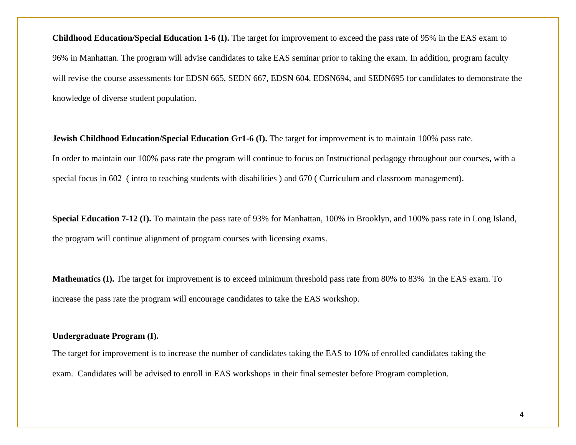**Childhood Education/Special Education 1-6 (I).** The target for improvement to exceed the pass rate of 95% in the EAS exam to 96% in Manhattan. The program will advise candidates to take EAS seminar prior to taking the exam. In addition, program faculty will revise the course assessments for EDSN 665, SEDN 667, EDSN 604, EDSN694, and SEDN695 for candidates to demonstrate the knowledge of diverse student population.

**Jewish Childhood Education/Special Education Gr1-6 (I).** The target for improvement is to maintain 100% pass rate. In order to maintain our 100% pass rate the program will continue to focus on Instructional pedagogy throughout our courses, with a special focus in 602 ( intro to teaching students with disabilities ) and 670 ( Curriculum and classroom management).

**Special Education 7-12 (I).** To maintain the pass rate of 93% for Manhattan, 100% in Brooklyn, and 100% pass rate in Long Island, the program will continue alignment of program courses with licensing exams.

**Mathematics (I).** The target for improvement is to exceed minimum threshold pass rate from 80% to 83% in the EAS exam. To increase the pass rate the program will encourage candidates to take the EAS workshop.

## **Undergraduate Program (I).**

The target for improvement is to increase the number of candidates taking the EAS to 10% of enrolled candidates taking the exam. Candidates will be advised to enroll in EAS workshops in their final semester before Program completion.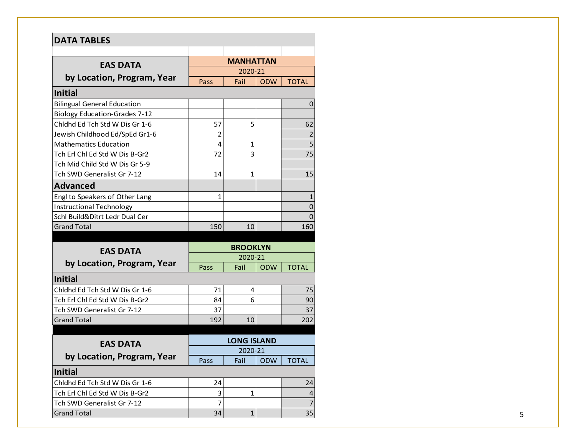| <b>DATA TABLES</b>                   |                    |                  |            |                                                       |  |
|--------------------------------------|--------------------|------------------|------------|-------------------------------------------------------|--|
|                                      |                    |                  |            |                                                       |  |
| <b>EAS DATA</b>                      |                    | <b>MANHATTAN</b> |            |                                                       |  |
| by Location, Program, Year           |                    | 2020-21          |            |                                                       |  |
|                                      | Pass               | Fail             | <b>ODW</b> | <b>TOTAL</b>                                          |  |
| <b>Initial</b>                       |                    |                  |            |                                                       |  |
| <b>Bilingual General Education</b>   |                    |                  |            | 0                                                     |  |
| <b>Biology Education-Grades 7-12</b> |                    |                  |            |                                                       |  |
| Chidhd Ed Tch Std W Dis Gr 1-6       | 57                 | 5                |            | 62                                                    |  |
| Jewish Childhood Ed/SpEd Gr1-6       | $\overline{2}$     |                  |            | $\overline{c}$                                        |  |
| <b>Mathematics Education</b>         | 4                  | 1                |            | $\overline{\mathbf{5}}$                               |  |
| Tch Erl Chl Ed Std W Dis B-Gr2       | 72                 | 3                |            | 75                                                    |  |
| Tch Mid Child Std W Dis Gr 5-9       |                    |                  |            |                                                       |  |
| Tch SWD Generalist Gr 7-12           | 14                 | 1                |            | 15                                                    |  |
| <b>Advanced</b>                      |                    |                  |            |                                                       |  |
| Engl to Speakers of Other Lang       | 1                  |                  |            | $\mathbf{1}$                                          |  |
| <b>Instructional Technology</b>      |                    |                  |            | $\mathbf 0$                                           |  |
| Schl Build&Ditrt Ledr Dual Cer       |                    |                  |            | $\mathbf 0$                                           |  |
| <b>Grand Total</b>                   | 150                | 10               |            | 160                                                   |  |
|                                      |                    |                  |            |                                                       |  |
| <b>EAS DATA</b>                      | <b>BROOKLYN</b>    |                  |            |                                                       |  |
| by Location, Program, Year           |                    | 2020-21          |            |                                                       |  |
|                                      | Pass               | Fail             | <b>ODW</b> | <b>TOTAL</b>                                          |  |
| <b>Initial</b>                       |                    |                  |            |                                                       |  |
| Chidhd Ed Tch Std W Dis Gr 1-6       | 71                 | 4                |            | 75                                                    |  |
| Tch Erl Chl Ed Std W Dis B-Gr2       | 84                 | 6                |            | 90                                                    |  |
| Tch SWD Generalist Gr 7-12           | 37                 |                  |            | 37                                                    |  |
| <b>Grand Total</b>                   | 192                | 10               |            | 202                                                   |  |
|                                      |                    |                  |            |                                                       |  |
|                                      | <b>LONG ISLAND</b> |                  |            |                                                       |  |
|                                      |                    |                  |            |                                                       |  |
| <b>EAS DATA</b>                      |                    | 2020-21          |            |                                                       |  |
| by Location, Program, Year           | Pass               | Fail             | <b>ODW</b> | <b>TOTAL</b>                                          |  |
| <b>Initial</b>                       |                    |                  |            |                                                       |  |
| Chldhd Ed Tch Std W Dis Gr 1-6       | 24                 |                  |            |                                                       |  |
| Tch Erl Chl Ed Std W Dis B-Gr2       | 3                  | $\mathbf{1}$     |            |                                                       |  |
| Tch SWD Generalist Gr 7-12           | $\overline{7}$     |                  |            | 24<br>$\overline{\mathbf{r}}$<br>$\overline{7}$<br>35 |  |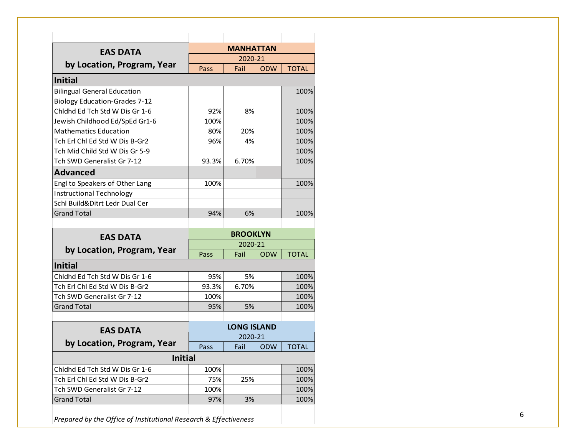| <b>EAS DATA</b>                      |                 | <b>MANHATTAN</b>   |            |                              |
|--------------------------------------|-----------------|--------------------|------------|------------------------------|
|                                      | 2020-21         |                    |            |                              |
| by Location, Program, Year           | Pass            | Fail               | <b>ODW</b> | <b>TOTAL</b>                 |
| <b>Initial</b>                       |                 |                    |            |                              |
| <b>Bilingual General Education</b>   |                 |                    |            | 100%                         |
| <b>Biology Education-Grades 7-12</b> |                 |                    |            |                              |
| Chidhd Ed Tch Std W Dis Gr 1-6       | 92%             | 8%                 |            | 100%                         |
| Jewish Childhood Ed/SpEd Gr1-6       | 100%            |                    |            | 100%                         |
| <b>Mathematics Education</b>         | 80%             | 20%                |            | 100%                         |
| Tch Erl Chl Ed Std W Dis B-Gr2       | 96%             | 4%                 |            | 100%                         |
| Tch Mid Child Std W Dis Gr 5-9       |                 |                    |            | 100%                         |
| Tch SWD Generalist Gr 7-12           | 93.3%           | 6.70%              |            | 100%                         |
| <b>Advanced</b>                      |                 |                    |            |                              |
| Engl to Speakers of Other Lang       | 100%            |                    |            | 100%                         |
| <b>Instructional Technology</b>      |                 |                    |            |                              |
| Schl Build&Ditrt Ledr Dual Cer       |                 |                    |            |                              |
| <b>Grand Total</b>                   | 94%             | 6%                 |            | 100%                         |
|                                      |                 |                    |            |                              |
| <b>EAS DATA</b>                      | <b>BROOKLYN</b> |                    |            |                              |
|                                      | 2020-21         |                    |            |                              |
| by Location, Program, Year           | Pass            | Fail               | <b>ODW</b> | <b>TOTAL</b>                 |
| <b>Initial</b>                       |                 |                    |            |                              |
| Chidhd Ed Tch Std W Dis Gr 1-6       | 95%             | 5%                 |            | 100%                         |
|                                      |                 |                    |            |                              |
| Tch Erl Chl Ed Std W Dis B-Gr2       | 93.3%           | 6.70%              |            |                              |
| Tch SWD Generalist Gr 7-12           | 100%            |                    |            |                              |
| <b>Grand Total</b>                   | 95%             | 5%                 |            |                              |
|                                      |                 |                    |            |                              |
| <b>EAS DATA</b>                      |                 | <b>LONG ISLAND</b> |            | 100%<br>100%<br>100%         |
|                                      |                 | 2020-21            |            |                              |
| by Location, Program, Year           | Pass            | Fail               | <b>ODW</b> | <b>TOTAL</b>                 |
| <b>Initial</b>                       |                 |                    |            |                              |
| Chldhd Ed Tch Std W Dis Gr 1-6       | 100%            |                    |            |                              |
| Tch Erl Chl Ed Std W Dis B-Gr2       | 75%             | 25%                |            |                              |
| Tch SWD Generalist Gr 7-12           | 100%            |                    |            |                              |
| <b>Grand Total</b>                   | 97%             | 3%                 |            | 100%<br>100%<br>100%<br>100% |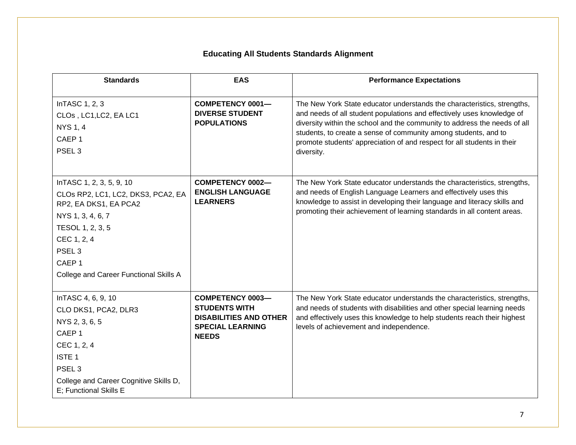# **Educating All Students Standards Alignment**

| <b>Standards</b>                                                                                                                                                                                                                     | <b>EAS</b>                                                                                                                  | <b>Performance Expectations</b>                                                                                                                                                                                                                                                                                                                                                            |
|--------------------------------------------------------------------------------------------------------------------------------------------------------------------------------------------------------------------------------------|-----------------------------------------------------------------------------------------------------------------------------|--------------------------------------------------------------------------------------------------------------------------------------------------------------------------------------------------------------------------------------------------------------------------------------------------------------------------------------------------------------------------------------------|
| InTASC 1, 2, 3<br>CLOs, LC1, LC2, EA LC1<br><b>NYS 1, 4</b><br>CAEP <sub>1</sub><br>PSEL <sub>3</sub>                                                                                                                                | <b>COMPETENCY 0001-</b><br><b>DIVERSE STUDENT</b><br><b>POPULATIONS</b>                                                     | The New York State educator understands the characteristics, strengths,<br>and needs of all student populations and effectively uses knowledge of<br>diversity within the school and the community to address the needs of all<br>students, to create a sense of community among students, and to<br>promote students' appreciation of and respect for all students in their<br>diversity. |
| In TASC 1, 2, 3, 5, 9, 10<br>CLOs RP2, LC1, LC2, DKS3, PCA2, EA<br>RP2, EA DKS1, EA PCA2<br>NYS 1, 3, 4, 6, 7<br>TESOL 1, 2, 3, 5<br>CEC 1, 2, 4<br>PSEL <sub>3</sub><br>CAEP <sub>1</sub><br>College and Career Functional Skills A | <b>COMPETENCY 0002-</b><br><b>ENGLISH LANGUAGE</b><br><b>LEARNERS</b>                                                       | The New York State educator understands the characteristics, strengths,<br>and needs of English Language Learners and effectively uses this<br>knowledge to assist in developing their language and literacy skills and<br>promoting their achievement of learning standards in all content areas.                                                                                         |
| InTASC 4, 6, 9, 10<br>CLO DKS1, PCA2, DLR3<br>NYS 2, 3, 6, 5<br>CAEP <sub>1</sub><br>CEC 1, 2, 4<br><b>ISTE 1</b><br>PSEL <sub>3</sub><br>College and Career Cognitive Skills D,<br>E; Functional Skills E                           | <b>COMPETENCY 0003-</b><br><b>STUDENTS WITH</b><br><b>DISABILITIES AND OTHER</b><br><b>SPECIAL LEARNING</b><br><b>NEEDS</b> | The New York State educator understands the characteristics, strengths,<br>and needs of students with disabilities and other special learning needs<br>and effectively uses this knowledge to help students reach their highest<br>levels of achievement and independence.                                                                                                                 |